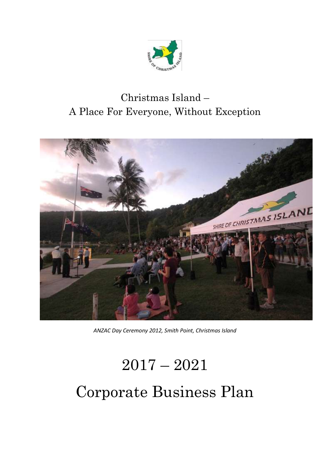

## Christmas Island – A Place For Everyone, Without Exception



*ANZAC Day Ceremony 2012, Smith Point, Christmas Island*

# 2017 – 2021 Corporate Business Plan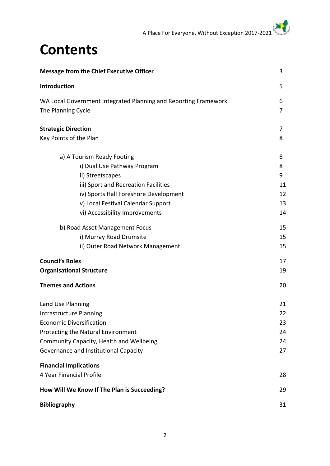## **Contents**

| <b>Message from the Chief Executive Officer</b>                 | 3  |
|-----------------------------------------------------------------|----|
| Introduction                                                    | 5  |
| WA Local Government Integrated Planning and Reporting Framework | 6  |
| The Planning Cycle                                              | 7  |
| <b>Strategic Direction</b>                                      | 7  |
| Key Points of the Plan                                          | 8  |
| a) A Tourism Ready Footing                                      | 8  |
| i) Dual Use Pathway Program                                     | 8  |
| ii) Streetscapes                                                | 9  |
| iii) Sport and Recreation Facilities                            | 11 |
| iv) Sports Hall Foreshore Development                           | 12 |
| v) Local Festival Calendar Support                              | 13 |
| vi) Accessibility Improvements                                  | 14 |
| b) Road Asset Management Focus                                  | 15 |
| i) Murray Road Drumsite                                         | 15 |
| ii) Outer Road Network Management                               | 15 |
| <b>Council's Roles</b>                                          | 17 |
| <b>Organisational Structure</b>                                 | 19 |
| <b>Themes and Actions</b>                                       | 20 |
| Land Use Planning                                               | 21 |
| Infrastructure Planning                                         | 22 |
| <b>Economic Diversification</b>                                 | 23 |
| Protecting the Natural Environment                              | 24 |
| Community Capacity, Health and Wellbeing                        | 24 |
| Governance and Institutional Capacity                           | 27 |
| <b>Financial Implications</b>                                   |    |
| 4 Year Financial Profile                                        | 28 |
| How Will We Know If The Plan is Succeeding?                     | 29 |
| <b>Bibliography</b>                                             | 31 |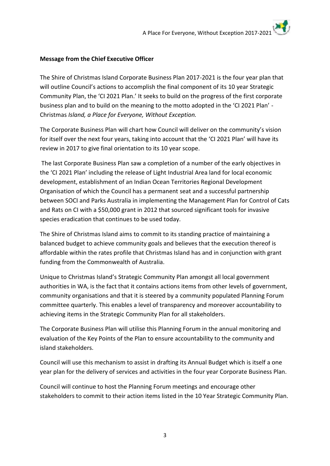#### **Message from the Chief Executive Officer**

The Shire of Christmas Island Corporate Business Plan 2017-2021 is the four year plan that will outline Council's actions to accomplish the final component of its 10 year Strategic Community Plan, the 'CI 2021 Plan.' It seeks to build on the progress of the first corporate business plan and to build on the meaning to the motto adopted in the 'CI 2021 Plan' - Christmas *Island, a Place for Everyone, Without Exception.*

The Corporate Business Plan will chart how Council will deliver on the community's vision for itself over the next four years, taking into account that the 'CI 2021 Plan' will have its review in 2017 to give final orientation to its 10 year scope.

The last Corporate Business Plan saw a completion of a number of the early objectives in the 'CI 2021 Plan' including the release of Light Industrial Area land for local economic development, establishment of an Indian Ocean Territories Regional Development Organisation of which the Council has a permanent seat and a successful partnership between SOCI and Parks Australia in implementing the Management Plan for Control of Cats and Rats on CI with a \$50,000 grant in 2012 that sourced significant tools for invasive species eradication that continues to be used today.

The Shire of Christmas Island aims to commit to its standing practice of maintaining a balanced budget to achieve community goals and believes that the execution thereof is affordable within the rates profile that Christmas Island has and in conjunction with grant funding from the Commonwealth of Australia.

Unique to Christmas Island's Strategic Community Plan amongst all local government authorities in WA, is the fact that it contains actions items from other levels of government, community organisations and that it is steered by a community populated Planning Forum committee quarterly. This enables a level of transparency and moreover accountability to achieving items in the Strategic Community Plan for all stakeholders.

The Corporate Business Plan will utilise this Planning Forum in the annual monitoring and evaluation of the Key Points of the Plan to ensure accountability to the community and island stakeholders.

Council will use this mechanism to assist in drafting its Annual Budget which is itself a one year plan for the delivery of services and activities in the four year Corporate Business Plan.

Council will continue to host the Planning Forum meetings and encourage other stakeholders to commit to their action items listed in the 10 Year Strategic Community Plan.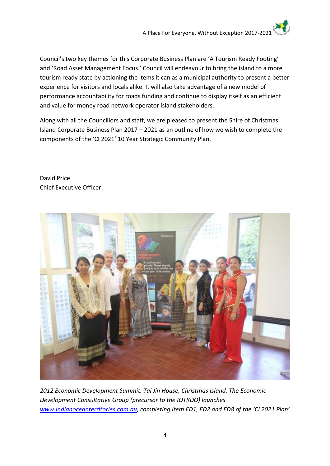Council's two key themes for this Corporate Business Plan are 'A Tourism Ready Footing' and 'Road Asset Management Focus.' Council will endeavour to bring the island to a more tourism ready state by actioning the items it can as a municipal authority to present a better experience for visitors and locals alike. It will also take advantage of a new model of performance accountability for roads funding and continue to display itself as an efficient and value for money road network operator island stakeholders.

Along with all the Councillors and staff, we are pleased to present the Shire of Christmas Island Corporate Business Plan 2017 – 2021 as an outline of how we wish to complete the components of the 'CI 2021' 10 Year Strategic Community Plan.

David Price Chief Executive Officer



*2012 Economic Development Summit, Tai Jin House, Christmas Island. The Economic Development Consultative Group (precursor to the IOTRDO) launches [www.indianoceanterritories.com.au,](http://www.indianoceanterritories.com.au/) completing item ED1, ED2 and ED8 of the 'CI 2021 Plan'*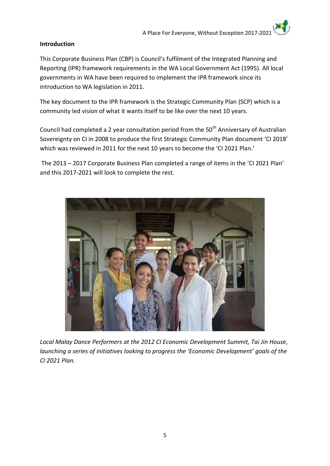#### **Introduction**

This Corporate Business Plan (CBP) is Council's fulfilment of the Integrated Planning and Reporting (IPR) framework requirements in the WA Local Government Act (1995). All local governments in WA have been required to implement the IPR framework since its introduction to WA legislation in 2011.

The key document to the IPR framework is the Strategic Community Plan (SCP) which is a community led vision of what it wants itself to be like over the next 10 years.

Council had completed a 2 year consultation period from the 50<sup>th</sup> Anniversary of Australian Sovereignty on CI in 2008 to produce the first Strategic Community Plan document 'CI 2018' which was reviewed in 2011 for the next 10 years to become the 'CI 2021 Plan.'

The 2013 – 2017 Corporate Business Plan completed a range of items in the 'CI 2021 Plan' and this 2017-2021 will look to complete the rest.



*Local Malay Dance Performers at the 2012 CI Economic Development Summit, Tai Jin House, launching a series of initiatives looking to progress the 'Economic Development' goals of the CI 2021 Plan.*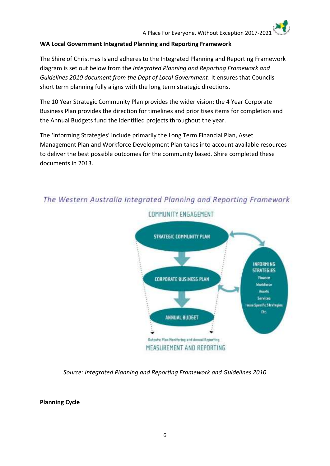#### **WA Local Government Integrated Planning and Reporting Framework**

The Shire of Christmas Island adheres to the Integrated Planning and Reporting Framework diagram is set out below from the *Integrated Planning and Reporting Framework and Guidelines 2010 document from the Dept of Local Government*. It ensures that Councils short term planning fully aligns with the long term strategic directions.

The 10 Year Strategic Community Plan provides the wider vision; the 4 Year Corporate Business Plan provides the direction for timelines and prioritises items for completion and the Annual Budgets fund the identified projects throughout the year.

The 'Informing Strategies' include primarily the Long Term Financial Plan, Asset Management Plan and Workforce Development Plan takes into account available resources to deliver the best possible outcomes for the community based. Shire completed these documents in 2013.



## The Western Australia Integrated Planning and Reporting Framework

*Source: Integrated Planning and Reporting Framework and Guidelines 2010*

**Planning Cycle**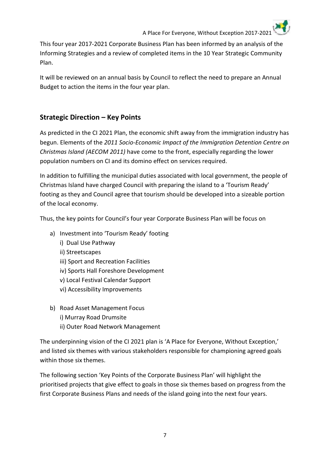This four year 2017-2021 Corporate Business Plan has been informed by an analysis of the Informing Strategies and a review of completed items in the 10 Year Strategic Community Plan.

It will be reviewed on an annual basis by Council to reflect the need to prepare an Annual Budget to action the items in the four year plan.

#### **Strategic Direction – Key Points**

As predicted in the CI 2021 Plan, the economic shift away from the immigration industry has begun. Elements of the *2011 Socio-Economic Impact of the Immigration Detention Centre on Christmas Island (AECOM 2011)* have come to the front, especially regarding the lower population numbers on CI and its domino effect on services required.

In addition to fulfilling the municipal duties associated with local government, the people of Christmas Island have charged Council with preparing the island to a 'Tourism Ready' footing as they and Council agree that tourism should be developed into a sizeable portion of the local economy.

Thus, the key points for Council's four year Corporate Business Plan will be focus on

- a) Investment into 'Tourism Ready' footing
	- i) Dual Use Pathway
	- ii) Streetscapes
	- iii) Sport and Recreation Facilities
	- iv) Sports Hall Foreshore Development
	- v) Local Festival Calendar Support
	- vi) Accessibility Improvements
- b) Road Asset Management Focus
	- i) Murray Road Drumsite
	- ii) Outer Road Network Management

The underpinning vision of the CI 2021 plan is 'A Place for Everyone, Without Exception,' and listed six themes with various stakeholders responsible for championing agreed goals within those six themes.

The following section 'Key Points of the Corporate Business Plan' will highlight the prioritised projects that give effect to goals in those six themes based on progress from the first Corporate Business Plans and needs of the island going into the next four years.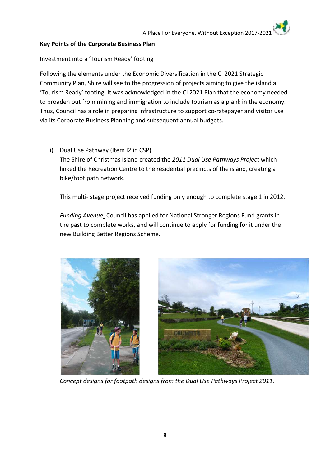#### **Key Points of the Corporate Business Plan**

#### Investment into a 'Tourism Ready' footing

Following the elements under the Economic Diversification in the CI 2021 Strategic Community Plan, Shire will see to the progression of projects aiming to give the island a 'Tourism Ready' footing. It was acknowledged in the CI 2021 Plan that the economy needed to broaden out from mining and immigration to include tourism as a plank in the economy. Thus, Council has a role in preparing infrastructure to support co-ratepayer and visitor use via its Corporate Business Planning and subsequent annual budgets.

#### i) Dual Use Pathway (Item I2 in CSP)

The Shire of Christmas Island created the *2011 Dual Use Pathways Project* which linked the Recreation Centre to the residential precincts of the island, creating a bike/foot path network.

This multi- stage project received funding only enough to complete stage 1 in 2012.

*Funding Avenue*: Council has applied for National Stronger Regions Fund grants in the past to complete works, and will continue to apply for funding for it under the new Building Better Regions Scheme.





*Concept designs for footpath designs from the Dual Use Pathways Project 2011.*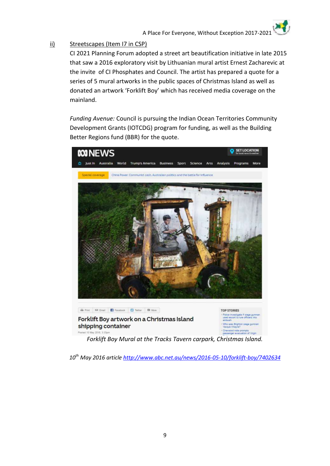#### ii) Streetscapes (Item I7 in CSP)

CI 2021 Planning Forum adopted a street art beautification initiative in late 2015 that saw a 2016 exploratory visit by Lithuanian mural artist Ernest Zacharevic at the invite of CI Phosphates and Council. The artist has prepared a quote for a series of 5 mural artworks in the public spaces of Christmas Island as well as donated an artwork 'Forklift Boy' which has received media coverage on the mainland.

*Funding Avenue:* Council is pursuing the Indian Ocean Territories Community Development Grants (IOTCDG) program for funding, as well as the Building Better Regions fund (BBR) for the quote.



*Forklift Boy Mural at the Tracks Tavern carpark, Christmas Island.*

*10th May 2016 article <http://www.abc.net.au/news/2016-05-10/forklift-boy/7402634>*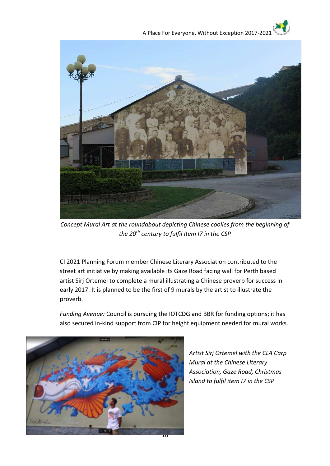

*Concept Mural Art at the roundabout depicting Chinese coolies from the beginning of the 20th century to fulfil Item I7 in the CSP*

CI 2021 Planning Forum member Chinese Literary Association contributed to the street art initiative by making available its Gaze Road facing wall for Perth based artist Sirj Ortemel to complete a mural illustrating a Chinese proverb for success in early 2017. It is planned to be the first of 9 murals by the artist to illustrate the proverb.

*Funding Avenue:* Council is pursuing the IOTCDG and BBR for funding options; it has also secured in-kind support from CIP for height equipment needed for mural works.



*Artist Sirj Ortemel with the CLA Carp Mural at the Chinese Literary Association, Gaze Road, Christmas Island to fulfil item I7 in the CSP*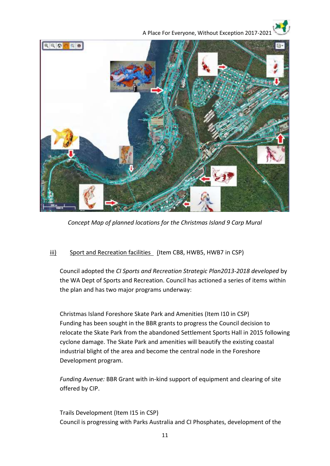



*Concept Map of planned locations for the Christmas Island 9 Carp Mural*

#### iii) Sport and Recreation facilities (Item CB8, HWB5, HWB7 in CSP)

Council adopted the *CI Sports and Recreation Strategic Plan2013-2018 developed* by the WA Dept of Sports and Recreation. Council has actioned a series of items within the plan and has two major programs underway:

Christmas Island Foreshore Skate Park and Amenities (Item I10 in CSP) Funding has been sought in the BBR grants to progress the Council decision to relocate the Skate Park from the abandoned Settlement Sports Hall in 2015 following cyclone damage. The Skate Park and amenities will beautify the existing coastal industrial blight of the area and become the central node in the Foreshore Development program.

*Funding Avenue:* BBR Grant with in-kind support of equipment and clearing of site offered by CIP.

Trails Development (Item I15 in CSP) Council is progressing with Parks Australia and CI Phosphates, development of the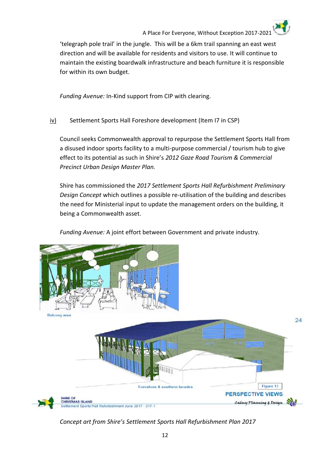'telegraph pole trail' in the jungle. This will be a 6km trail spanning an east west direction and will be available for residents and visitors to use. It will continue to maintain the existing boardwalk infrastructure and beach furniture it is responsible for within its own budget.

*Funding Avenue:* In-Kind support from CIP with clearing.

iv) Settlement Sports Hall Foreshore development (Item I7 in CSP)

Council seeks Commonwealth approval to repurpose the Settlement Sports Hall from a disused indoor sports facility to a multi-purpose commercial / tourism hub to give effect to its potential as such in Shire's *2012 Gaze Road Tourism & Commercial Precinct Urban Design Master Plan.*

Shire has commissioned the *2017 Settlement Sports Hall Refurbishment Preliminary Design Concept* which outlines a possible re-utilisation of the building and describes the need for Ministerial input to update the management orders on the building, it being a Commonwealth asset.

*Funding Avenue:* A joint effort between Government and private industry.



*Concept art from Shire's Settlement Sports Hall Refurbishment Plan 2017*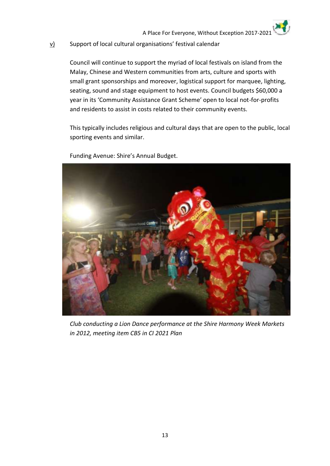#### v) Support of local cultural organisations' festival calendar

Council will continue to support the myriad of local festivals on island from the Malay, Chinese and Western communities from arts, culture and sports with small grant sponsorships and moreover, logistical support for marquee, lighting, seating, sound and stage equipment to host events. Council budgets \$60,000 a year in its 'Community Assistance Grant Scheme' open to local not-for-profits and residents to assist in costs related to their community events.

This typically includes religious and cultural days that are open to the public, local sporting events and similar.



Funding Avenue: Shire's Annual Budget.

*Club conducting a Lion Dance performance at the Shire Harmony Week Markets in 2012, meeting item CB5 in CI 2021 Plan*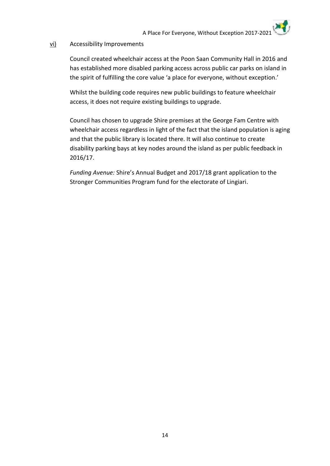#### vi) Accessibility Improvements

Council created wheelchair access at the Poon Saan Community Hall in 2016 and has established more disabled parking access across public car parks on island in the spirit of fulfilling the core value 'a place for everyone, without exception.'

Whilst the building code requires new public buildings to feature wheelchair access, it does not require existing buildings to upgrade.

Council has chosen to upgrade Shire premises at the George Fam Centre with wheelchair access regardless in light of the fact that the island population is aging and that the public library is located there. It will also continue to create disability parking bays at key nodes around the island as per public feedback in 2016/17.

*Funding Avenue:* Shire's Annual Budget and 2017/18 grant application to the Stronger Communities Program fund for the electorate of Lingiari.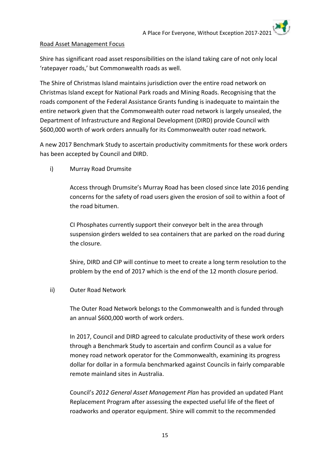#### Road Asset Management Focus

Shire has significant road asset responsibilities on the island taking care of not only local 'ratepayer roads,' but Commonwealth roads as well.

The Shire of Christmas Island maintains jurisdiction over the entire road network on Christmas Island except for National Park roads and Mining Roads. Recognising that the roads component of the Federal Assistance Grants funding is inadequate to maintain the entire network given that the Commonwealth outer road network is largely unsealed, the Department of Infrastructure and Regional Development (DIRD) provide Council with \$600,000 worth of work orders annually for its Commonwealth outer road network.

A new 2017 Benchmark Study to ascertain productivity commitments for these work orders has been accepted by Council and DIRD.

i) Murray Road Drumsite

Access through Drumsite's Murray Road has been closed since late 2016 pending concerns for the safety of road users given the erosion of soil to within a foot of the road bitumen.

CI Phosphates currently support their conveyor belt in the area through suspension girders welded to sea containers that are parked on the road during the closure.

Shire, DIRD and CIP will continue to meet to create a long term resolution to the problem by the end of 2017 which is the end of the 12 month closure period.

#### ii) Outer Road Network

The Outer Road Network belongs to the Commonwealth and is funded through an annual \$600,000 worth of work orders.

In 2017, Council and DIRD agreed to calculate productivity of these work orders through a Benchmark Study to ascertain and confirm Council as a value for money road network operator for the Commonwealth, examining its progress dollar for dollar in a formula benchmarked against Councils in fairly comparable remote mainland sites in Australia.

Council's *2012 General Asset Management Plan* has provided an updated Plant Replacement Program after assessing the expected useful life of the fleet of roadworks and operator equipment. Shire will commit to the recommended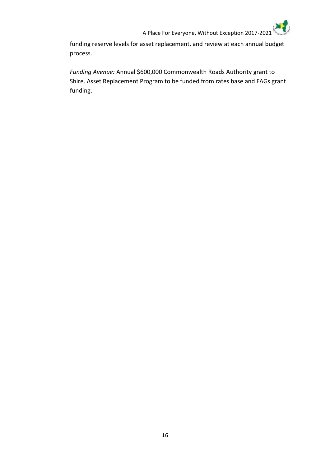funding reserve levels for asset replacement, and review at each annual budget process.

*Funding Avenue:* Annual \$600,000 Commonwealth Roads Authority grant to Shire. Asset Replacement Program to be funded from rates base and FAGs grant funding.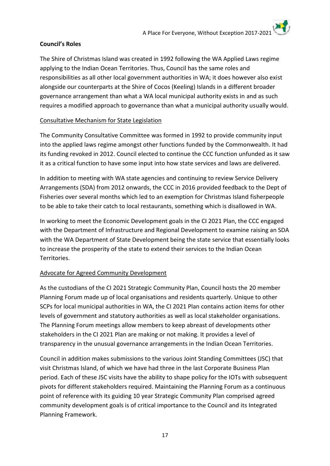#### **Council's Roles**

The Shire of Christmas Island was created in 1992 following the WA Applied Laws regime applying to the Indian Ocean Territories. Thus, Council has the same roles and responsibilities as all other local government authorities in WA; it does however also exist alongside our counterparts at the Shire of Cocos (Keeling) Islands in a different broader governance arrangement than what a WA local municipal authority exists in and as such requires a modified approach to governance than what a municipal authority usually would.

#### Consultative Mechanism for State Legislation

The Community Consultative Committee was formed in 1992 to provide community input into the applied laws regime amongst other functions funded by the Commonwealth. It had its funding revoked in 2012. Council elected to continue the CCC function unfunded as it saw it as a critical function to have some input into how state services and laws are delivered.

In addition to meeting with WA state agencies and continuing to review Service Delivery Arrangements (SDA) from 2012 onwards, the CCC in 2016 provided feedback to the Dept of Fisheries over several months which led to an exemption for Christmas Island fisherpeople to be able to take their catch to local restaurants, something which is disallowed in WA.

In working to meet the Economic Development goals in the CI 2021 Plan, the CCC engaged with the Department of Infrastructure and Regional Development to examine raising an SDA with the WA Department of State Development being the state service that essentially looks to increase the prosperity of the state to extend their services to the Indian Ocean Territories.

#### Advocate for Agreed Community Development

As the custodians of the CI 2021 Strategic Community Plan, Council hosts the 20 member Planning Forum made up of local organisations and residents quarterly. Unique to other SCPs for local municipal authorities in WA, the CI 2021 Plan contains action items for other levels of government and statutory authorities as well as local stakeholder organisations. The Planning Forum meetings allow members to keep abreast of developments other stakeholders in the CI 2021 Plan are making or not making. It provides a level of transparency in the unusual governance arrangements in the Indian Ocean Territories.

Council in addition makes submissions to the various Joint Standing Committees (JSC) that visit Christmas Island, of which we have had three in the last Corporate Business Plan period. Each of these JSC visits have the ability to shape policy for the IOTs with subsequent pivots for different stakeholders required. Maintaining the Planning Forum as a continuous point of reference with its guiding 10 year Strategic Community Plan comprised agreed community development goals is of critical importance to the Council and its Integrated Planning Framework.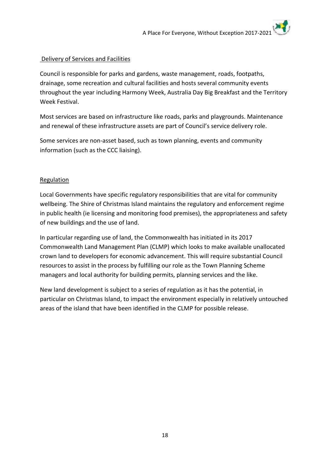#### Delivery of Services and Facilities

Council is responsible for parks and gardens, waste management, roads, footpaths, drainage, some recreation and cultural facilities and hosts several community events throughout the year including Harmony Week, Australia Day Big Breakfast and the Territory Week Festival.

Most services are based on infrastructure like roads, parks and playgrounds. Maintenance and renewal of these infrastructure assets are part of Council's service delivery role.

Some services are non-asset based, such as town planning, events and community information (such as the CCC liaising).

#### Regulation

Local Governments have specific regulatory responsibilities that are vital for community wellbeing. The Shire of Christmas Island maintains the regulatory and enforcement regime in public health (ie licensing and monitoring food premises), the appropriateness and safety of new buildings and the use of land.

In particular regarding use of land, the Commonwealth has initiated in its 2017 Commonwealth Land Management Plan (CLMP) which looks to make available unallocated crown land to developers for economic advancement. This will require substantial Council resources to assist in the process by fulfilling our role as the Town Planning Scheme managers and local authority for building permits, planning services and the like.

New land development is subject to a series of regulation as it has the potential, in particular on Christmas Island, to impact the environment especially in relatively untouched areas of the island that have been identified in the CLMP for possible release.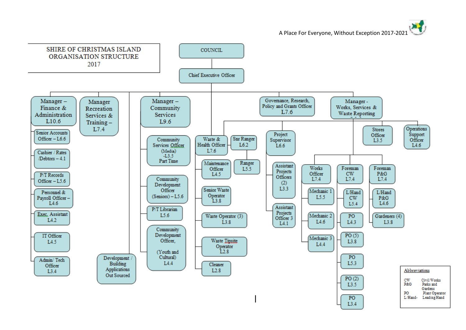A Place For Everyone, Without Exception 2017-2021

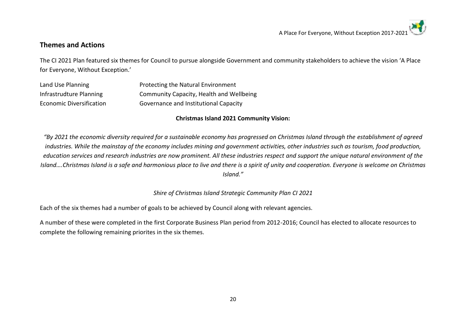#### **Themes and Actions**

The CI 2021 Plan featured six themes for Council to pursue alongside Government and community stakeholders to achieve the vision 'A Place for Everyone, Without Exception.'

| Land Use Planning        | Protecting the Natural Environment       |
|--------------------------|------------------------------------------|
| Infrastrudture Planning  | Community Capacity, Health and Wellbeing |
| Economic Diversification | Governance and Institutional Capacity    |

#### **Christmas Island 2021 Community Vision:**

*"By 2021 the economic diversity required for a sustainable economy has progressed on Christmas Island through the establishment of agreed industries. While the mainstay of the economy includes mining and government activities, other industries such as tourism, food production, education services and research industries are now prominent. All these industries respect and support the unique natural environment of the Island….Christmas Island is a safe and harmonious place to live and there is a spirit of unity and cooperation. Everyone is welcome on Christmas Island."*

*Shire of Christmas Island Strategic Community Plan CI 2021*

Each of the six themes had a number of goals to be achieved by Council along with relevant agencies.

A number of these were completed in the first Corporate Business Plan period from 2012-2016; Council has elected to allocate resources to complete the following remaining priorites in the six themes.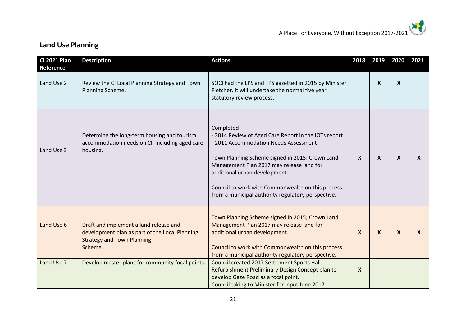| <b>CI 2021 Plan</b>            | <b>Description</b>                                                                                                                       | <b>Actions</b>                                                                                                                                                                                                                                                                                                                                         | 2018             | 2019             | 2020             | 2021             |
|--------------------------------|------------------------------------------------------------------------------------------------------------------------------------------|--------------------------------------------------------------------------------------------------------------------------------------------------------------------------------------------------------------------------------------------------------------------------------------------------------------------------------------------------------|------------------|------------------|------------------|------------------|
| <b>Reference</b><br>Land Use 2 | Review the CI Local Planning Strategy and Town<br>Planning Scheme.                                                                       | SOCI had the LPS and TPS gazetted in 2015 by Minister<br>Fletcher. It will undertake the normal five year<br>statutory review process.                                                                                                                                                                                                                 |                  | $\mathbf{x}$     | $\boldsymbol{X}$ |                  |
| Land Use 3                     | Determine the long-term housing and tourism<br>accommodation needs on CI, including aged care<br>housing.                                | Completed<br>- 2014 Review of Aged Care Report in the IOTs report<br>- 2011 Accommodation Needs Assessment<br>Town Planning Scheme signed in 2015; Crown Land<br>Management Plan 2017 may release land for<br>additional urban development.<br>Council to work with Commonwealth on this process<br>from a municipal authority regulatory perspective. | $\boldsymbol{X}$ | $\boldsymbol{X}$ | $\mathbf{x}$     | $\boldsymbol{X}$ |
| Land Use 6                     | Draft and implement a land release and<br>development plan as part of the Local Planning<br><b>Strategy and Town Planning</b><br>Scheme. | Town Planning Scheme signed in 2015; Crown Land<br>Management Plan 2017 may release land for<br>additional urban development.<br>Council to work with Commonwealth on this process<br>from a municipal authority regulatory perspective.                                                                                                               | $\boldsymbol{X}$ | $\mathbf{x}$     | $\mathbf{x}$     | $\boldsymbol{X}$ |
| Land Use 7                     | Develop master plans for community focal points.                                                                                         | Council created 2017 Settlement Sports Hall<br>Refurbishment Preliminary Design Concept plan to<br>develop Gaze Road as a focal point.<br>Council taking to Minister for input June 2017                                                                                                                                                               | $\boldsymbol{X}$ |                  |                  |                  |

## **Land Use Planning**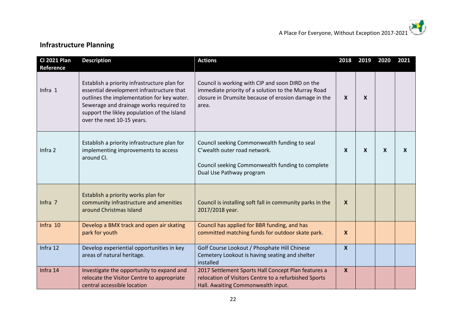## **Infrastructure Planning**

| <b>CI 2021 Plan</b><br><b>Reference</b> | <b>Description</b>                                                                                                                                                                                                                                              | <b>Actions</b>                                                                                                                                                           | 2018                      | 2019 | 2020                      | 2021                      |
|-----------------------------------------|-----------------------------------------------------------------------------------------------------------------------------------------------------------------------------------------------------------------------------------------------------------------|--------------------------------------------------------------------------------------------------------------------------------------------------------------------------|---------------------------|------|---------------------------|---------------------------|
| Infra 1                                 | Establish a priority infrastructure plan for<br>essential development infrastructure that<br>outlines the implementation for key water.<br>Sewerage and drainage works required to<br>support the likley population of the Island<br>over the next 10-15 years. | Council is working with CIP and soon DIRD on the<br>immediate priority of a solution to the Murray Road<br>closure in Drumsite because of erosion damage in the<br>area. | $\boldsymbol{\mathsf{x}}$ | X    |                           |                           |
| Infra 2                                 | Establish a priority infrastructure plan for<br>implementing improvements to access<br>around CI.                                                                                                                                                               | Council seeking Commonwealth funding to seal<br>C'wealth outer road network.<br>Council seeking Commonwealth funding to complete<br>Dual Use Pathway program             | $\boldsymbol{\mathsf{x}}$ | X    | $\boldsymbol{\mathsf{X}}$ | $\boldsymbol{\mathsf{X}}$ |
| Infra 7                                 | Establish a priority works plan for<br>community infrastructure and amenities<br>around Christmas Island                                                                                                                                                        | Council is installing soft fall in community parks in the<br>2017/2018 year.                                                                                             | $\mathbf{x}$              |      |                           |                           |
| Infra 10                                | Develop a BMX track and open air skating<br>park for youth                                                                                                                                                                                                      | Council has applied for BBR funding, and has<br>committed matching funds for outdoor skate park.                                                                         | X                         |      |                           |                           |
| Infra 12                                | Develop experiential opportunities in key<br>areas of natural heritage.                                                                                                                                                                                         | Golf Course Lookout / Phosphate Hill Chinese<br>Cemetery Lookout is having seating and shelter<br>installed                                                              | $\boldsymbol{X}$          |      |                           |                           |
| Infra 14                                | Investigate the opportunity to expand and<br>relocate the Visitor Centre to appropriate<br>central accessible location                                                                                                                                          | 2017 Settlement Sports Hall Concept Plan features a<br>relocation of Visitors Centre to a refurbished Sports<br>Hall. Awaiting Commonwealth input.                       | $\boldsymbol{X}$          |      |                           |                           |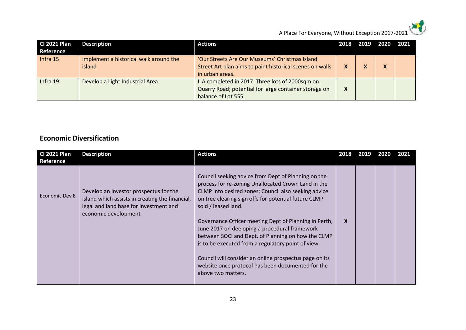

A Place For Everyone, Without Exception 2017-2021

| <b>CI 2021 Plan</b><br>Reference | <b>Description</b>                               | <b>Actions</b>                                                                                                                  | 2018 | 2019 | - 2020 | 2021 |
|----------------------------------|--------------------------------------------------|---------------------------------------------------------------------------------------------------------------------------------|------|------|--------|------|
| Infra 15                         | Implement a historical walk around the<br>island | 'Our Streets Are Our Museums' Christmas Island<br>Street Art plan aims to paint historical scenes on walls<br>in urban areas.   |      |      | χ      |      |
| Infra 19                         | Develop a Light Industrial Area                  | LIA completed in 2017. Three lots of 2000sqm on<br>Quarry Road; potential for large container storage on<br>balance of Lot 555. |      |      |        |      |

#### **Economic Diversification**

| <b>CI 2021 Plan</b><br>Reference | <b>Description</b>                                                                                                                                          | <b>Actions</b>                                                                                                                                                                                                                                                                                                                                                                                                                                                                                                                                                                                               | 2018         | 2019 | 2020 | 2021 |
|----------------------------------|-------------------------------------------------------------------------------------------------------------------------------------------------------------|--------------------------------------------------------------------------------------------------------------------------------------------------------------------------------------------------------------------------------------------------------------------------------------------------------------------------------------------------------------------------------------------------------------------------------------------------------------------------------------------------------------------------------------------------------------------------------------------------------------|--------------|------|------|------|
| Economic Dev 8                   | Develop an investor prospectus for the<br>Island which assists in creating the financial,<br>legal and land base for investment and<br>economic development | Council seeking advice from Dept of Planning on the<br>process for re-zoning Unallocated Crown Land in the<br>CLMP into desired zones; Council also seeking advice<br>on tree clearing sign offs for potential future CLMP<br>sold / leased land.<br>Governance Officer meeting Dept of Planning in Perth,<br>June 2017 on deeloping a procedural framework<br>between SOCI and Dept. of Planning on how the CLMP<br>is to be executed from a regulatory point of view.<br>Council will consider an online prospectus page on its<br>website once protocol has been documented for the<br>above two matters. | $\mathbf{x}$ |      |      |      |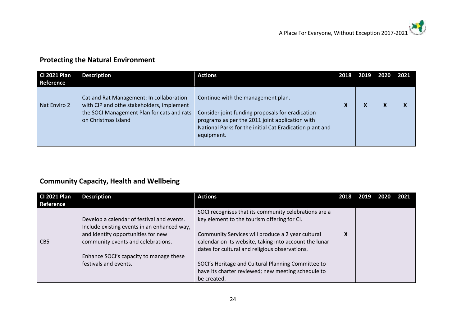## **Protecting the Natural Environment**

| <b>CI 2021 Plan</b><br>Reference | <b>Description</b>                                                                                                                                         | <b>Actions</b>                                                                                                                                                                                                      | 2018 | 2019 | 2020 | 2021 |
|----------------------------------|------------------------------------------------------------------------------------------------------------------------------------------------------------|---------------------------------------------------------------------------------------------------------------------------------------------------------------------------------------------------------------------|------|------|------|------|
| Nat Enviro 2                     | Cat and Rat Management: In collaboration<br>with CIP and othe stakeholders, implement<br>the SOCI Management Plan for cats and rats<br>on Christmas Island | Continue with the management plan.<br>Consider joint funding proposals for eradication<br>programs as per the 2011 joint application with<br>National Parks for the initial Cat Eradication plant and<br>equipment. |      |      |      |      |

## **Community Capacity, Health and Wellbeing**

| <b>CI 2021 Plan</b><br>Reference | <b>Description</b>                                                                                                                                                    | <b>Actions</b>                                                                                                                                                                                                                                                        | 2018 |  | 2021 |
|----------------------------------|-----------------------------------------------------------------------------------------------------------------------------------------------------------------------|-----------------------------------------------------------------------------------------------------------------------------------------------------------------------------------------------------------------------------------------------------------------------|------|--|------|
| C <sub>B5</sub>                  | Develop a calendar of festival and events.<br>Include existing events in an enhanced way,<br>and identify opportunities for new<br>community events and celebrations. | SOCI recognises that its community celebrations are a<br>key element to the tourism offering for CI.<br>Community Services will produce a 2 year cultural<br>calendar on its website, taking into account the lunar<br>dates for cultural and religious observations. | Λ    |  |      |
|                                  | Enhance SOCI's capacity to manage these<br>festivals and events.                                                                                                      | SOCI's Heritage and Cultural Planning Committee to<br>have its charter reviewed; new meeting schedule to<br>be created.                                                                                                                                               |      |  |      |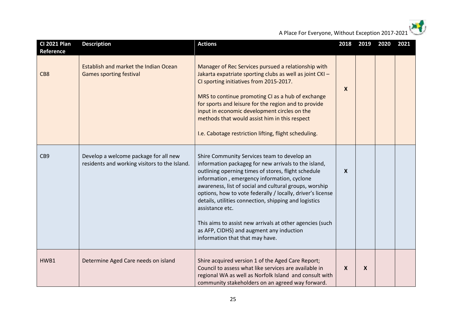xý,

A Place For Everyone, Without Exception 2017-2021

| <b>CI 2021 Plan</b><br>Reference | <b>Description</b>                                                                     | <b>Actions</b>                                                                                                                                                                                                                                                                                                                                                                                                                                                                                                                                           | 2018             | 2019             | 2020 | 2021 |
|----------------------------------|----------------------------------------------------------------------------------------|----------------------------------------------------------------------------------------------------------------------------------------------------------------------------------------------------------------------------------------------------------------------------------------------------------------------------------------------------------------------------------------------------------------------------------------------------------------------------------------------------------------------------------------------------------|------------------|------------------|------|------|
| CB <sub>8</sub>                  | Establish and market the Indian Ocean<br><b>Games sporting festival</b>                | Manager of Rec Services pursued a relationship with<br>Jakarta expatriate sporting clubs as well as joint CKI -<br>CI sporting initiatives from 2015-2017.<br>MRS to continue promoting CI as a hub of exchange<br>for sports and leisure for the region and to provide<br>input in economic development circles on the<br>methods that would assist him in this respect<br>I.e. Cabotage restriction lifting, flight scheduling.                                                                                                                        | $\boldsymbol{X}$ |                  |      |      |
| CB <sub>9</sub>                  | Develop a welcome package for all new<br>residents and working visitors to the Island. | Shire Community Services team to develop an<br>information packageg for new arrivals to the island,<br>outlining operning times of stores, flight schedule<br>information, emergency information, cyclone<br>awareness, list of social and cultural groups, worship<br>options, how to vote federally / locally, driver's license<br>details, utilities connection, shipping and logistics<br>assistance etc.<br>This aims to assist new arrivals at other agencies (such<br>as AFP, CIDHS) and augment any induction<br>information that that may have. | X                |                  |      |      |
| HWB1                             | Determine Aged Care needs on island                                                    | Shire acquired version 1 of the Aged Care Report;<br>Council to assess what like services are available in<br>regional WA as well as Norfolk Island and consult with<br>community stakeholders on an agreed way forward.                                                                                                                                                                                                                                                                                                                                 | $\boldsymbol{X}$ | $\boldsymbol{X}$ |      |      |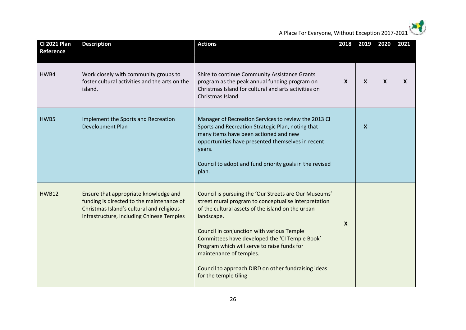xý,

A Place For Everyone, Without Exception 2017-2021

| <b>CI 2021 Plan</b><br>Reference | <b>Description</b>                                                                                                                                                           | <b>Actions</b>                                                                                                                                                                                                                                                                                                                                                                                                                             | 2018             | 2019                      | 2020 | 2021         |
|----------------------------------|------------------------------------------------------------------------------------------------------------------------------------------------------------------------------|--------------------------------------------------------------------------------------------------------------------------------------------------------------------------------------------------------------------------------------------------------------------------------------------------------------------------------------------------------------------------------------------------------------------------------------------|------------------|---------------------------|------|--------------|
| HWB4                             | Work closely with community groups to<br>foster cultural activities and the arts on the<br>island.                                                                           | Shire to continue Community Assistance Grants<br>program as the peak annual funding program on<br>Christmas Island for cultural and arts activities on<br>Christmas Island.                                                                                                                                                                                                                                                                | $\boldsymbol{X}$ | $\boldsymbol{\mathsf{X}}$ | X    | $\mathsf{x}$ |
| HWB5                             | Implement the Sports and Recreation<br>Development Plan                                                                                                                      | Manager of Recreation Services to review the 2013 CI<br>Sports and Recreation Strategic Plan, noting that<br>many items have been actioned and new<br>opportunities have presented themselves in recent<br>years.<br>Council to adopt and fund priority goals in the revised<br>plan.                                                                                                                                                      |                  | $\boldsymbol{\mathsf{X}}$ |      |              |
| <b>HWB12</b>                     | Ensure that appropriate knowledge and<br>funding is directed to the maintenance of<br>Christmas Island's cultural and religious<br>infrastructure, including Chinese Temples | Council is pursuing the 'Our Streets are Our Museums'<br>street mural program to conceptualise interpretation<br>of the cultural assets of the island on the urban<br>landscape.<br>Council in conjunction with various Temple<br>Committees have developed the 'CI Temple Book'<br>Program which will serve to raise funds for<br>maintenance of temples.<br>Council to approach DIRD on other fundraising ideas<br>for the temple tiling | $\boldsymbol{X}$ |                           |      |              |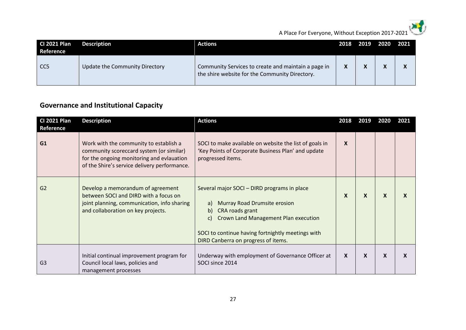

A Place For Everyone, Without Exception 2017-2021

| <b>CI 2021 Plan</b><br>Reference | <b>Description</b>             | <b>Actions</b>                                                                                        | 2018 2019 | 2020 2021 |  |
|----------------------------------|--------------------------------|-------------------------------------------------------------------------------------------------------|-----------|-----------|--|
| CC <sub>5</sub>                  | Update the Community Directory | Community Services to create and maintain a page in<br>the shire website for the Community Directory. |           |           |  |

## **Governance and Institutional Capacity**

| <b>CI 2021 Plan</b><br><b>Reference</b> | <b>Description</b>                                                                                                                                                              | <b>Actions</b>                                                                                                                                                                                                                                       | 2018             | 2019             | 2020                      | 2021                      |
|-----------------------------------------|---------------------------------------------------------------------------------------------------------------------------------------------------------------------------------|------------------------------------------------------------------------------------------------------------------------------------------------------------------------------------------------------------------------------------------------------|------------------|------------------|---------------------------|---------------------------|
| G1                                      | Work with the community to establish a<br>community scoreccard system (or similar)<br>for the ongoing monitoring and evlauation<br>of the Shire's service delivery performance. | SOCI to make available on website the list of goals in<br>'Key Points of Corporate Business Plan' and update<br>progressed items.                                                                                                                    | X                |                  |                           |                           |
| G <sub>2</sub>                          | Develop a memorandum of agreement<br>between SOCI and DIRD with a focus on<br>joint planning, communication, info sharing<br>and collaboration on key projects.                 | Several major SOCI - DIRD programs in place<br>Murray Road Drumsite erosion<br>a)<br>CRA roads grant<br>b)<br>Crown Land Management Plan execution<br>C)<br>SOCI to continue having fortnightly meetings with<br>DIRD Canberra on progress of items. | X                | $\boldsymbol{x}$ | $\boldsymbol{\mathsf{x}}$ | $\boldsymbol{\mathsf{x}}$ |
| G <sub>3</sub>                          | Initial continual improvement program for<br>Council local laws, policies and<br>management processes                                                                           | Underway with employment of Governance Officer at<br>SOCI since 2014                                                                                                                                                                                 | $\boldsymbol{x}$ | X                | X                         | $\boldsymbol{\mathsf{x}}$ |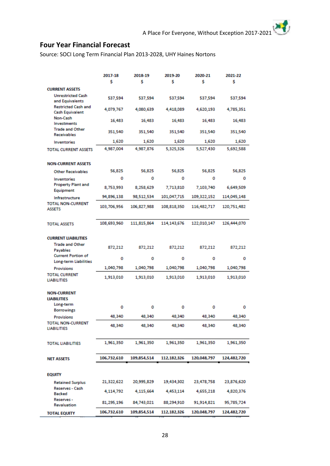## **Four Year Financial Forecast**

Source: SOCI Long Term Financial Plan 2013-2028, UHY Haines Nortons

|                                                      | 2017-18<br>\$ | 2018-19<br>Ś | 2019-20<br>Ś  | 2020-21<br>\$ | 2021-22<br>Ś |
|------------------------------------------------------|---------------|--------------|---------------|---------------|--------------|
| <b>CURRENT ASSETS</b>                                |               |              |               |               |              |
| <b>Unrestricted Cash</b><br>and Equivalents          | 537,594       | 537,594      | 537,594       | 537,594       | 537,594      |
| <b>Restricted Cash and</b><br><b>Cash Equivalent</b> | 4,079,767     | 4,080,639    | 4,418,089     | 4,620,193     | 4,785,351    |
| Non-Cash<br>Investments                              | 16,483        | 16,483       | 16,483        | 16,483        | 16,483       |
| <b>Trade and Other</b><br><b>Receivables</b>         | 351,540       | 351,540      | 351,540       | 351,540       | 351,540      |
| <b>Inventories</b>                                   | 1,620         | 1,620        | 1,620         | 1,620         | 1,620        |
| <b>TOTAL CURRENT ASSETS</b>                          | 4,987,004     | 4,987,876    | 5,325,326     | 5,527,430     | 5,692,588    |
| <b>NON-CURRENT ASSETS</b>                            |               |              |               |               |              |
| <b>Other Receivables</b>                             | 56,825        | 56,825       | 56,825        | 56,825        | 56,825       |
| Inventories<br><b>Property Plant and</b>             | ٥             | о            | 0             | 0             | 0            |
| Equipment                                            | 8,753,993     | 8,258,629    | 7,713,810     | 7,103,740     | 6,649,509    |
| Infrastructure                                       | 94,896,138    | 98,512,534   | 101,047,715   | 109,322,152   | 114,045,148  |
| <b>TOTAL NON-CURRENT</b><br><b>ASSETS</b>            | 103,706,956   | 106,827,988  | 108,818,350   | 116,482,717   | 120,751,482  |
| <b>TOTAL ASSETS</b>                                  | 108,693,960   | 111,815,864  | 114, 143, 676 | 122,010,147   | 126,444,070  |
| <b>CURRENT LIABILITIES</b>                           |               |              |               |               |              |
| <b>Trade and Other</b>                               | 872,212       | 872,212      | 872,212       | 872,212       | 872,212      |
| Payables<br><b>Current Portion of</b>                |               |              |               |               |              |
| <b>Long-term Liabilities</b>                         | 0             | 0            | 0             | ٥             | 0            |
| <b>Provisions</b>                                    | 1,040,798     | 1,040,798    | 1,040,798     | 1,040,798     | 1,040,798    |
| <b>TOTAL CURRENT</b><br><b>LIABILITIES</b>           | 1,913,010     | 1,913,010    | 1,913,010     | 1,913,010     | 1,913,010    |
| <b>NON-CURRENT</b>                                   |               |              |               |               |              |
| <b>LIABILITIES</b>                                   |               |              |               |               |              |
| Long-term<br><b>Borrowings</b>                       | 0             | 0            | ٥             | ٥             | 0            |
| <b>Provisions</b>                                    | 48.340        | 48,340       | 48,340        | 48,340        | 48,340       |
| <b>TOTAL NON-CURRENT</b><br><b>LIABILITIES</b>       | 48,340        | 48,340       | 48,340        | 48,340        | 48,340       |
| <b>TOTAL LIABILITIES</b>                             | 1,961,350     | 1,961,350    | 1,961,350     | 1,961,350     | 1,961,350    |
| <b>NET ASSETS</b>                                    | 106,732,610   | 109,854,514  | 112,182,326   | 120,048,797   | 124,482,720  |
|                                                      |               |              |               |               |              |
| <b>EQUITY</b>                                        |               |              |               |               |              |
| <b>Retained Surplus</b>                              | 21,322,622    | 20,995,829   | 19,434,302    | 23,478,758    | 23,876,620   |
| Reserves - Cash<br><b>Backed</b>                     | 4,114,792     | 4,115,664    | 4,453,114     | 4,655,218     | 4,820,376    |
| Reserves -<br><b>Revaluation</b>                     | 81,295,196    | 84,743,021   | 88,294,910    | 91,914,821    | 95,785,724   |
| <b>TOTAL EQUITY</b>                                  | 106,732,610   | 109,854,514  | 112,182,326   | 120,048,797   | 124,482,720  |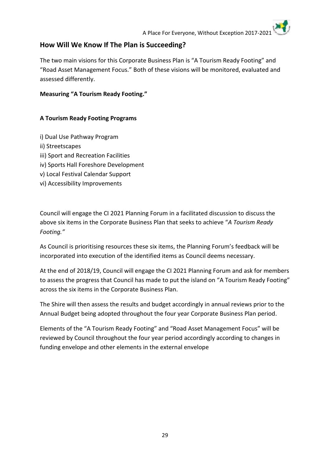#### **How Will We Know If The Plan is Succeeding?**

The two main visions for this Corporate Business Plan is "A Tourism Ready Footing" and "Road Asset Management Focus." Both of these visions will be monitored, evaluated and assessed differently.

#### **Measuring "A Tourism Ready Footing."**

#### **A Tourism Ready Footing Programs**

- i) Dual Use Pathway Program
- ii) Streetscapes
- iii) Sport and Recreation Facilities
- iv) Sports Hall Foreshore Development
- v) Local Festival Calendar Support
- vi) Accessibility Improvements

Council will engage the CI 2021 Planning Forum in a facilitated discussion to discuss the above six items in the Corporate Business Plan that seeks to achieve "*A Tourism Ready Footing."*

As Council is prioritising resources these six items, the Planning Forum's feedback will be incorporated into execution of the identified items as Council deems necessary.

At the end of 2018/19, Council will engage the CI 2021 Planning Forum and ask for members to assess the progress that Council has made to put the island on "A Tourism Ready Footing" across the six items in the Corporate Business Plan.

The Shire will then assess the results and budget accordingly in annual reviews prior to the Annual Budget being adopted throughout the four year Corporate Business Plan period.

Elements of the "A Tourism Ready Footing" and "Road Asset Management Focus" will be reviewed by Council throughout the four year period accordingly according to changes in funding envelope and other elements in the external envelope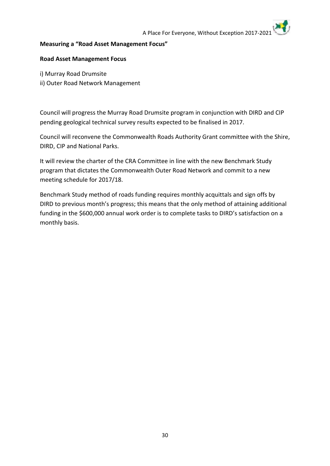#### **Measuring a "Road Asset Management Focus"**

#### **Road Asset Management Focus**

- i) Murray Road Drumsite
- ii) Outer Road Network Management

Council will progress the Murray Road Drumsite program in conjunction with DIRD and CIP pending geological technical survey results expected to be finalised in 2017.

Council will reconvene the Commonwealth Roads Authority Grant committee with the Shire, DIRD, CIP and National Parks.

It will review the charter of the CRA Committee in line with the new Benchmark Study program that dictates the Commonwealth Outer Road Network and commit to a new meeting schedule for 2017/18.

Benchmark Study method of roads funding requires monthly acquittals and sign offs by DIRD to previous month's progress; this means that the only method of attaining additional funding in the \$600,000 annual work order is to complete tasks to DIRD's satisfaction on a monthly basis.